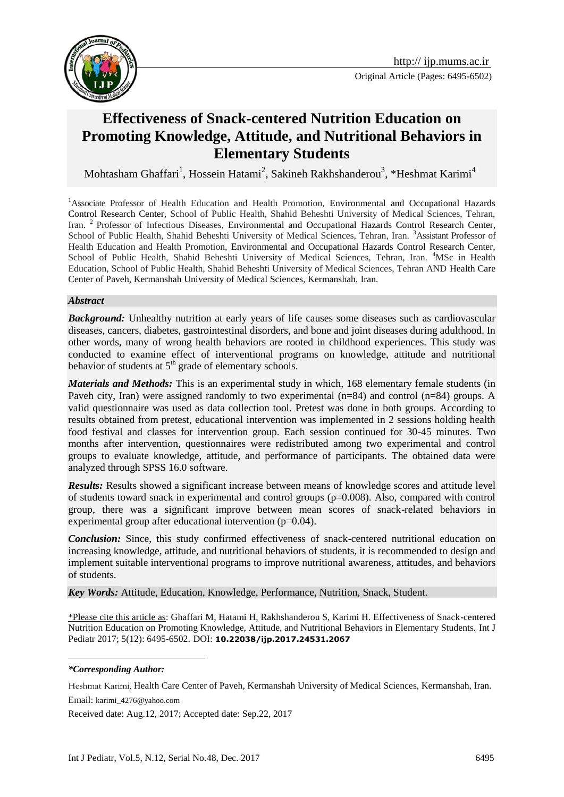

# **Effectiveness of Snack-centered Nutrition Education on Promoting Knowledge, Attitude, and Nutritional Behaviors in Elementary Students**

Mohtasham Ghaffari<sup>1</sup>, Hossein Hatami<sup>2</sup>, Sakineh Rakhshanderou<sup>3</sup>, \*Heshmat Karimi<sup>4</sup>

<sup>1</sup>Associate Professor of Health Education and Health Promotion, Environmental and Occupational Hazards Control Research Center, School of Public Health, Shahid Beheshti University of Medical Sciences, Tehran, Iran. <sup>2</sup> Professor of Infectious Diseases, Environmental and Occupational Hazards Control Research Center, School of Public Health, Shahid Beheshti University of Medical Sciences, Tehran, Iran. <sup>3</sup>Assistant Professor of Health Education and Health Promotion, Environmental and Occupational Hazards Control Research Center, School of Public Health, Shahid Beheshti University of Medical Sciences, Tehran, Iran. <sup>4</sup>MSc in Health Education, School of Public Health, Shahid Beheshti University of Medical Sciences, Tehran AND Health Care Center of Paveh, Kermanshah University of Medical Sciences, Kermanshah, Iran.

#### *Abstract*

*Background:* Unhealthy nutrition at early years of life causes some diseases such as cardiovascular diseases, cancers, diabetes, gastrointestinal disorders, and bone and joint diseases during adulthood. In other words, many of wrong health behaviors are rooted in childhood experiences. This study was conducted to examine effect of interventional programs on knowledge, attitude and nutritional behavior of students at  $5<sup>th</sup>$  grade of elementary schools.

*Materials and Methods:* This is an experimental study in which, 168 elementary female students (in Paveh city, Iran) were assigned randomly to two experimental (n=84) and control (n=84) groups. A valid questionnaire was used as data collection tool. Pretest was done in both groups. According to results obtained from pretest, educational intervention was implemented in 2 sessions holding health food festival and classes for intervention group. Each session continued for 30-45 minutes. Two months after intervention, questionnaires were redistributed among two experimental and control groups to evaluate knowledge, attitude, and performance of participants. The obtained data were analyzed through SPSS 16.0 software.

*Results:* Results showed a significant increase between means of knowledge scores and attitude level of students toward snack in experimental and control groups (p=0.008). Also, compared with control group, there was a significant improve between mean scores of snack-related behaviors in experimental group after educational intervention (p=0.04).

*Conclusion:* Since, this study confirmed effectiveness of snack-centered nutritional education on increasing knowledge, attitude, and nutritional behaviors of students, it is recommended to design and implement suitable interventional programs to improve nutritional awareness, attitudes, and behaviors of students.

*Key Words:* Attitude, Education, Knowledge, Performance, Nutrition, Snack, Student.

\*Please cite this article as: Ghaffari M, Hatami H, Rakhshanderou S, Karimi H. Effectiveness of Snack-centered Nutrition Education on Promoting Knowledge, Attitude, and Nutritional Behaviors in Elementary Students. Int J Pediatr 2017; 5(12): 6495-6502. DOI: **10.22038/ijp.2017.24531.2067**

#### *\*Corresponding Author:*

1

Heshmat Karimi, Health Care Center of Paveh, Kermanshah University of Medical Sciences, Kermanshah, Iran. Email: karimi\_4276@yahoo.com

Received date: Aug.12, 2017; Accepted date: Sep.22, 2017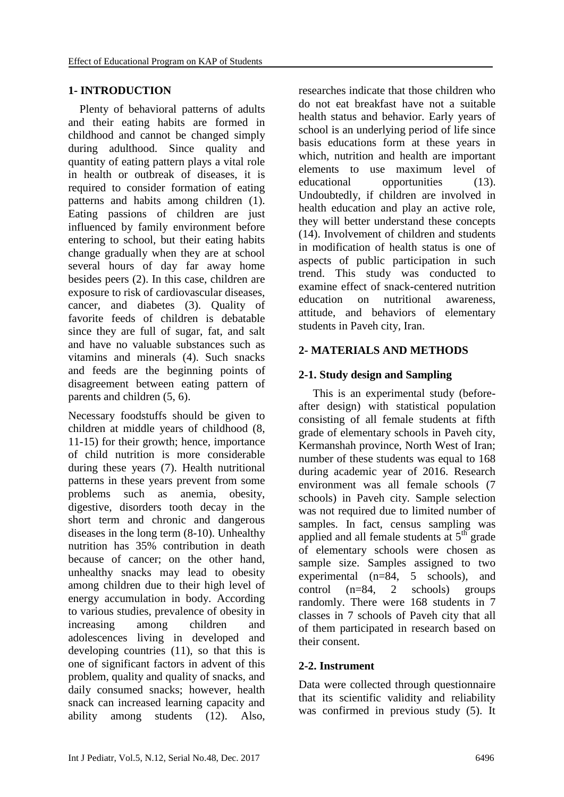#### **1- INTRODUCTION**

 Plenty of behavioral patterns of adults and their eating habits are formed in childhood and cannot be changed simply during adulthood. Since quality and quantity of eating pattern plays a vital role in health or outbreak of diseases, it is required to consider formation of eating patterns and habits among children (1). Eating passions of children are just influenced by family environment before entering to school, but their eating habits change gradually when they are at school several hours of day far away home besides peers (2). In this case, children are exposure to risk of cardiovascular diseases, cancer, and diabetes (3). Quality of favorite feeds of children is debatable since they are full of sugar, fat, and salt and have no valuable substances such as vitamins and minerals (4). Such snacks and feeds are the beginning points of disagreement between eating pattern of parents and children (5, 6).

Necessary foodstuffs should be given to children at middle years of childhood (8, 11-15) for their growth; hence, importance of child nutrition is more considerable during these years (7). Health nutritional patterns in these years prevent from some problems such as anemia, obesity, digestive, disorders tooth decay in the short term and chronic and dangerous diseases in the long term (8-10). Unhealthy nutrition has 35% contribution in death because of cancer; on the other hand, unhealthy snacks may lead to obesity among children due to their high level of energy accumulation in body. According to various studies, prevalence of obesity in increasing among children and adolescences living in developed and developing countries (11), so that this is one of significant factors in advent of this problem, quality and quality of snacks, and daily consumed snacks; however, health snack can increased learning capacity and ability among students (12). Also, researches indicate that those children who do not eat breakfast have not a suitable health status and behavior. Early years of school is an underlying period of life since basis educations form at these years in which, nutrition and health are important elements to use maximum level of educational opportunities (13). Undoubtedly, if children are involved in health education and play an active role, they will better understand these concepts (14). Involvement of children and students in modification of health status is one of aspects of public participation in such trend. This study was conducted to examine effect of snack-centered nutrition education on nutritional awareness, attitude, and behaviors of elementary students in Paveh city, Iran.

## **2- MATERIALS AND METHODS**

## **2-1. Study design and Sampling**

 This is an experimental study (beforeafter design) with statistical population consisting of all female students at fifth grade of elementary schools in Paveh city, Kermanshah province, North West of Iran; number of these students was equal to 168 during academic year of 2016. Research environment was all female schools (7 schools) in Paveh city. Sample selection was not required due to limited number of samples. In fact, census sampling was applied and all female students at  $5<sup>th</sup>$  grade of elementary schools were chosen as sample size. Samples assigned to two experimental (n=84, 5 schools), and control (n=84, 2 schools) groups randomly. There were 168 students in 7 classes in 7 schools of Paveh city that all of them participated in research based on their consent.

#### **2-2. Instrument**

Data were collected through questionnaire that its scientific validity and reliability was confirmed in previous study (5). It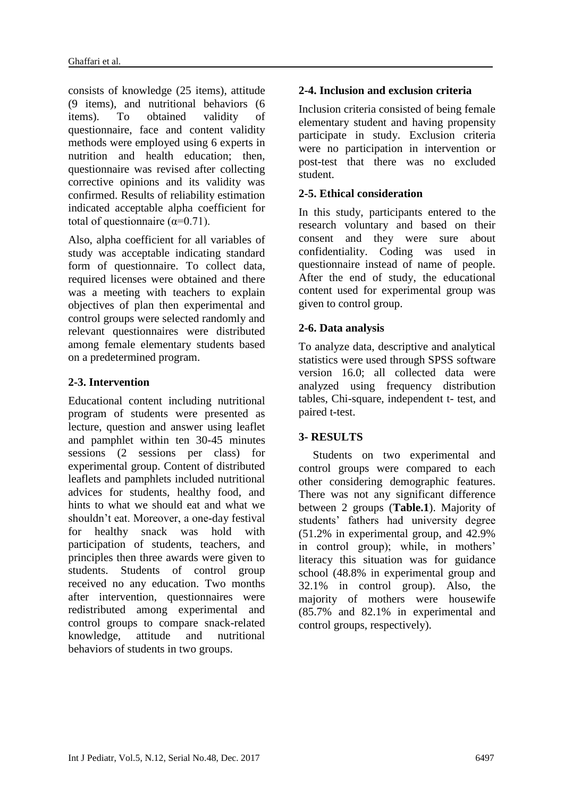consists of knowledge (25 items), attitude (9 items), and nutritional behaviors (6 items). To obtained validity of questionnaire, face and content validity methods were employed using 6 experts in nutrition and health education; then, questionnaire was revised after collecting corrective opinions and its validity was confirmed. Results of reliability estimation indicated acceptable alpha coefficient for total of questionnaire ( $\alpha$ =0.71).

Also, alpha coefficient for all variables of study was acceptable indicating standard form of questionnaire. To collect data, required licenses were obtained and there was a meeting with teachers to explain objectives of plan then experimental and control groups were selected randomly and relevant questionnaires were distributed among female elementary students based on a predetermined program.

#### **2-3. Intervention**

Educational content including nutritional program of students were presented as lecture, question and answer using leaflet and pamphlet within ten 30-45 minutes sessions (2 sessions per class) for experimental group. Content of distributed leaflets and pamphlets included nutritional advices for students, healthy food, and hints to what we should eat and what we shouldn't eat. Moreover, a one-day festival for healthy snack was hold with participation of students, teachers, and principles then three awards were given to students. Students of control group received no any education. Two months after intervention, questionnaires were redistributed among experimental and control groups to compare snack-related knowledge, attitude and nutritional behaviors of students in two groups.

## **2-4. Inclusion and exclusion criteria**

Inclusion criteria consisted of being female elementary student and having propensity participate in study. Exclusion criteria were no participation in intervention or post-test that there was no excluded student.

#### **2-5. Ethical consideration**

In this study, participants entered to the research voluntary and based on their consent and they were sure about confidentiality. Coding was used in questionnaire instead of name of people. After the end of study, the educational content used for experimental group was given to control group.

## **2-6. Data analysis**

To analyze data, descriptive and analytical statistics were used through SPSS software version 16.0; all collected data were analyzed using frequency distribution tables, Chi-square, independent t- test, and paired t-test.

## **3- RESULTS**

 Students on two experimental and control groups were compared to each other considering demographic features. There was not any significant difference between 2 groups (**Table.1**). Majority of students' fathers had university degree (51.2% in experimental group, and 42.9% in control group); while, in mothers' literacy this situation was for guidance school (48.8% in experimental group and 32.1% in control group). Also, the majority of mothers were housewife (85.7% and 82.1% in experimental and control groups, respectively).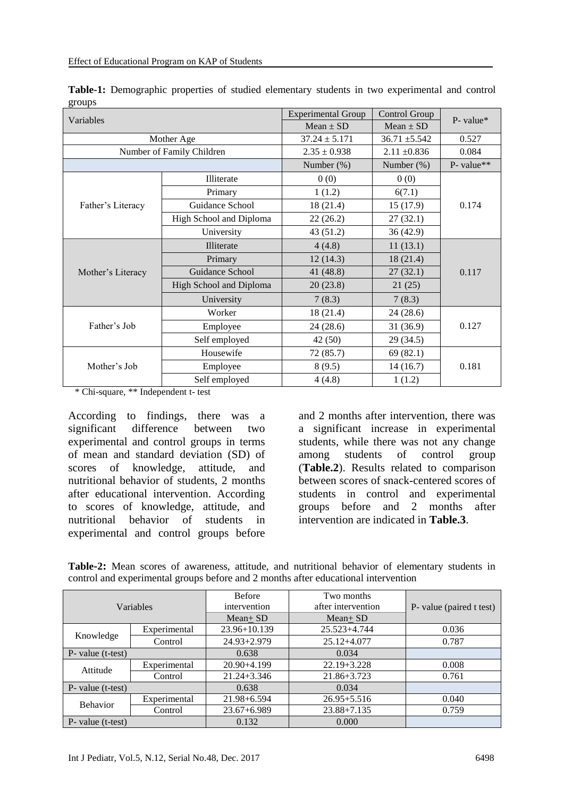|        | Table-1: Demographic properties of studied elementary students in two experimental and control |  |  |  |  |  |
|--------|------------------------------------------------------------------------------------------------|--|--|--|--|--|
| groups |                                                                                                |  |  |  |  |  |

| Variables         |                           | <b>Experimental Group</b> | Control Group     | $P$ - value* |  |
|-------------------|---------------------------|---------------------------|-------------------|--------------|--|
|                   |                           | $Mean \pm SD$             | $Mean \pm SD$     |              |  |
|                   | Mother Age                | $37.24 \pm 5.171$         | $36.71 \pm 5.542$ | 0.527        |  |
|                   | Number of Family Children | $2.35 \pm 0.938$          | $2.11 \pm 0.836$  | 0.084        |  |
|                   |                           | Number $(\%)$             | Number (%)        | P- value**   |  |
|                   | <b>Illiterate</b>         | 0(0)                      | 0(0)              | 0.174        |  |
|                   | Primary                   | 1(1.2)                    | 6(7.1)            |              |  |
| Father's Literacy | Guidance School           | 18(21.4)                  | 15(17.9)          |              |  |
|                   | High School and Diploma   | 22(26.2)                  | 27(32.1)          |              |  |
|                   | University                | 43 (51.2)                 | 36(42.9)          |              |  |
|                   | Illiterate                | 4(4.8)                    | 11(13.1)          | 0.117        |  |
|                   | Primary                   | 12(14.3)                  | 18(21.4)          |              |  |
| Mother's Literacy | Guidance School           | 41 (48.8)                 | 27(32.1)          |              |  |
|                   | High School and Diploma   | 20(23.8)                  | 21(25)            |              |  |
|                   | University                | 7(8.3)                    | 7(8.3)            |              |  |
|                   | Worker                    | 18 (21.4)                 | 24(28.6)          | 0.127        |  |
| Father's Job      | Employee                  | 24(28.6)                  | 31 (36.9)         |              |  |
|                   | Self employed             | 42(50)                    | 29(34.5)          |              |  |
|                   | Housewife                 | 72 (85.7)                 | 69(82.1)          | 0.181        |  |
| Mother's Job      | Employee                  | 8(9.5)                    | 14(16.7)          |              |  |
|                   | Self employed             | 4(4.8)                    | 1(1.2)            |              |  |

\* Chi-square, \*\* Independent t- test

According to findings, there was a significant difference between two experimental and control groups in terms of mean and standard deviation (SD) of scores of knowledge, attitude, and nutritional behavior of students, 2 months after educational intervention. According to scores of knowledge, attitude, and nutritional behavior of students in experimental and control groups before

and 2 months after intervention, there was a significant increase in experimental students, while there was not any change among students of control group (**Table.2**). Results related to comparison between scores of snack-centered scores of students in control and experimental groups before and 2 months after intervention are indicated in **Table.3**.

|                      |              | <b>Before</b><br>Two months  |                    |                          |  |  |
|----------------------|--------------|------------------------------|--------------------|--------------------------|--|--|
|                      | Variables    | intervention                 | after intervention | P- value (paired t test) |  |  |
|                      |              | $Mean + SD$                  | $Mean+SD$          |                          |  |  |
| Knowledge            | Experimental | 23.96+10.139<br>25.523+4.744 |                    | 0.036                    |  |  |
|                      | Control      | $24.93 + 2.979$              | $25.12 + 4.077$    | 0.787                    |  |  |
| P- value (t-test)    |              | 0.638                        | 0.034              |                          |  |  |
|                      | Experimental | $20.90 + 4.199$              | $22.19 + 3.228$    | 0.008                    |  |  |
| Attitude             | Control      | $21.24 + 3.346$              | 21.86+3.723        | 0.761                    |  |  |
| P- value (t-test)    |              | 0.638                        | 0.034              |                          |  |  |
| <b>Behavior</b>      | Experimental | $21.98 + 6.594$              | $26.95 + 5.516$    | 0.040                    |  |  |
|                      | Control      | $23.67 + 6.989$              | $23.88 + 7.135$    | 0.759                    |  |  |
| $P$ - value (t-test) |              | 0.132                        | 0.000              |                          |  |  |

**Table-2:** Mean scores of awareness, attitude, and nutritional behavior of elementary students in control and experimental groups before and 2 months after educational intervention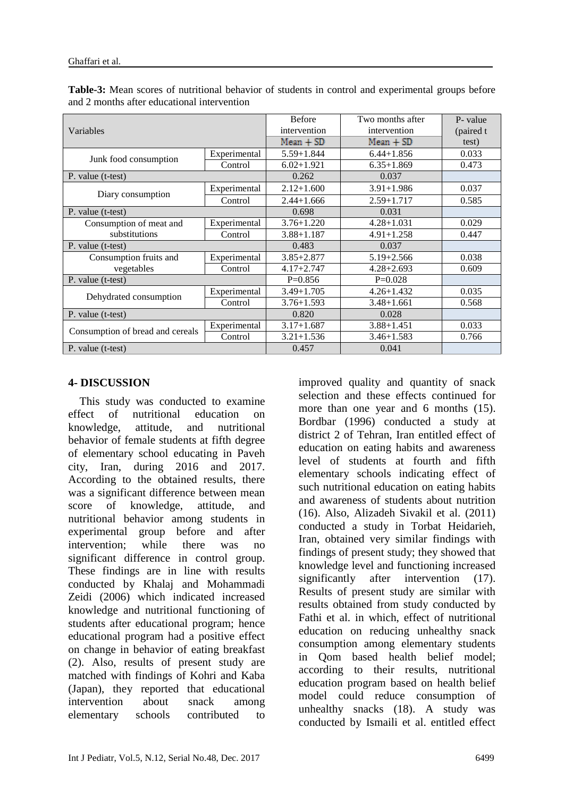|                                  |              | <b>Before</b>  | Two months after | P- value |
|----------------------------------|--------------|----------------|------------------|----------|
| Variables                        | intervention | intervention   | (paired t        |          |
|                                  |              | Mean + SD      | $Mean + SD$      | test)    |
|                                  | Experimental | $5.59 + 1.844$ | $6.44 + 1.856$   | 0.033    |
| Junk food consumption            | Control      | $6.02+1.921$   | $6.35 + 1.869$   | 0.473    |
| P. value (t-test)                |              | 0.262          | 0.037            |          |
| Diary consumption                | Experimental | $2.12 + 1.600$ | $3.91 + 1.986$   | 0.037    |
|                                  | Control      | $2.44 + 1.666$ | $2.59 + 1.717$   | 0.585    |
| P. value (t-test)                |              | 0.698          | 0.031            |          |
| Consumption of meat and          | Experimental | $3.76 + 1.220$ | $4.28 + 1.031$   | 0.029    |
| substitutions                    | Control      | $3.88 + 1.187$ | $4.91 + 1.258$   | 0.447    |
| P. value (t-test)                |              | 0.483          | 0.037            |          |
| Consumption fruits and           | Experimental | $3.85 + 2.877$ | $5.19 + 2.566$   | 0.038    |
| vegetables                       | Control      | $4.17 + 2.747$ | $4.28 + 2.693$   | 0.609    |
| P. value (t-test)                |              | $P=0.856$      | $P=0.028$        |          |
|                                  | Experimental | $3.49 + 1.705$ | $4.26 + 1.432$   | 0.035    |
| Dehydrated consumption           | Control      | $3.76 + 1.593$ | $3.48 + 1.661$   | 0.568    |
| P. value (t-test)                |              | 0.820          | 0.028            |          |
|                                  | Experimental | $3.17 + 1.687$ | $3.88 + 1.451$   | 0.033    |
| Consumption of bread and cereals | Control      | $3.21 + 1.536$ | $3.46 + 1.583$   | 0.766    |
| P. value (t-test)                |              | 0.457          | 0.041            |          |

**Table-3:** Mean scores of nutritional behavior of students in control and experimental groups before and 2 months after educational intervention

## **4- DISCUSSION**

 This study was conducted to examine effect of nutritional education on knowledge, attitude, and nutritional behavior of female students at fifth degree of elementary school educating in Paveh city, Iran, during 2016 and 2017. According to the obtained results, there was a significant difference between mean score of knowledge, attitude, and nutritional behavior among students in experimental group before and after intervention; while there was no significant difference in control group. These findings are in line with results conducted by Khalaj and Mohammadi Zeidi (2006) which indicated increased knowledge and nutritional functioning of students after educational program; hence educational program had a positive effect on change in behavior of eating breakfast (2). Also, results of present study are matched with findings of Kohri and Kaba (Japan), they reported that educational intervention about snack among elementary schools contributed to

improved quality and quantity of snack selection and these effects continued for more than one year and 6 months (15). Bordbar (1996) conducted a study at district 2 of Tehran, Iran entitled effect of education on eating habits and awareness level of students at fourth and fifth elementary schools indicating effect of such nutritional education on eating habits and awareness of students about nutrition (16). Also, Alizadeh Sivakil et al. (2011) conducted a study in Torbat Heidarieh, Iran, obtained very similar findings with findings of present study; they showed that knowledge level and functioning increased significantly after intervention (17). Results of present study are similar with results obtained from study conducted by Fathi et al. in which, effect of nutritional education on reducing unhealthy snack consumption among elementary students in Qom based health belief model; according to their results, nutritional education program based on health belief model could reduce consumption of unhealthy snacks (18). A study was conducted by Ismaili et al. entitled effect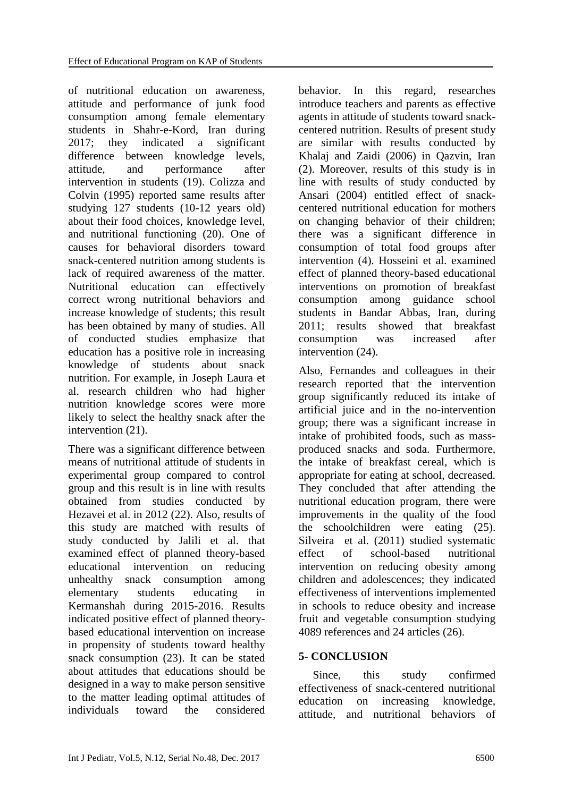of nutritional education on awareness, attitude and performance of junk food consumption among female elementary students in Shahr-e-Kord, Iran during 2017; they indicated a significant difference between knowledge levels, attitude, and performance after intervention in students (19). Colizza and Colvin (1995) reported same results after studying 127 students (10-12 years old) about their food choices, knowledge level, and nutritional functioning (20). One of causes for behavioral disorders toward snack-centered nutrition among students is lack of required awareness of the matter. Nutritional education can effectively correct wrong nutritional behaviors and increase knowledge of students; this result has been obtained by many of studies. All of conducted studies emphasize that education has a positive role in increasing knowledge of students about snack nutrition. For example, in Joseph Laura et al. research children who had higher nutrition knowledge scores were more likely to select the healthy snack after the intervention (21).

There was a significant difference between means of nutritional attitude of students in experimental group compared to control group and this result is in line with results obtained from studies conducted by Hezavei et al. in 2012 (22). Also, results of this study are matched with results of study conducted by Jalili et al. that examined effect of planned theory-based educational intervention on reducing unhealthy snack consumption among elementary students educating in Kermanshah during 2015-2016. Results indicated positive effect of planned theorybased educational intervention on increase in propensity of students toward healthy snack consumption (23). It can be stated about attitudes that educations should be designed in a way to make person sensitive to the matter leading optimal attitudes of individuals toward the considered

behavior. In this regard, researches introduce teachers and parents as effective agents in attitude of students toward snackcentered nutrition. Results of present study are similar with results conducted by Khalaj and Zaidi (2006) in Qazvin, Iran (2). Moreover, results of this study is in line with results of study conducted by Ansari (2004) entitled effect of snackcentered nutritional education for mothers on changing behavior of their children; there was a significant difference in consumption of total food groups after intervention (4). Hosseini et al. examined effect of planned theory-based educational interventions on promotion of breakfast consumption among guidance school students in Bandar Abbas, Iran, during 2011; results showed that breakfast consumption was increased after intervention (24).

Also, Fernandes and colleagues in their research reported that the intervention group significantly reduced its intake of artificial juice and in the no-intervention group; there was a significant increase in intake of prohibited foods, such as massproduced snacks and soda. Furthermore, the intake of breakfast cereal, which is appropriate for eating at school, decreased. They concluded that after attending the nutritional education program, there were improvements in the quality of the food the schoolchildren were eating (25). [Silveira](https://www.ncbi.nlm.nih.gov/pubmed/?term=Silveira%20JA%5BAuthor%5D&cauthor=true&cauthor_uid=22012577) et al. (2011) studied systematic effect of school-based nutritional intervention on reducing obesity among children and adolescences; they indicated effectiveness of interventions implemented in schools to reduce obesity and increase fruit and vegetable consumption studying 4089 references and 24 articles (26).

## **5- CONCLUSION**

 Since, this study confirmed effectiveness of snack-centered nutritional education on increasing knowledge, attitude, and nutritional behaviors of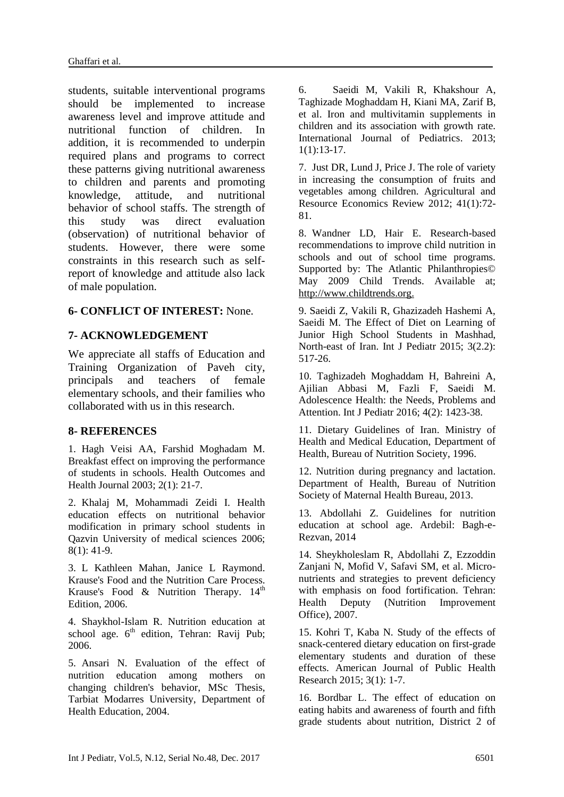students, suitable interventional programs should be implemented to increase awareness level and improve attitude and nutritional function of children. In addition, it is recommended to underpin required plans and programs to correct these patterns giving nutritional awareness to children and parents and promoting knowledge, attitude, and nutritional behavior of school staffs. The strength of this study was direct evaluation (observation) of nutritional behavior of students. However, there were some constraints in this research such as selfreport of knowledge and attitude also lack of male population.

#### **6- CONFLICT OF INTEREST:** None.

#### **7- ACKNOWLEDGEMENT**

We appreciate all staffs of Education and Training Organization of Paveh city, principals and teachers of female elementary schools, and their families who collaborated with us in this research.

#### **8- REFERENCES**

1. Hagh Veisi AA, Farshid Moghadam M. Breakfast effect on improving the performance of students in schools. Health Outcomes and Health Journal 2003; 2(1): 21-7.

2. Khalaj M, Mohammadi Zeidi I. Health education effects on nutritional behavior modification in primary school students in Qazvin University of medical sciences 2006; 8(1): 41-9.

3. L Kathleen Mahan, Janice L Raymond. Krause's Food and the Nutrition Care Process. Krause's Food & Nutrition Therapy.  $14<sup>th</sup>$ Edition, 2006.

4. Shaykhol-Islam R. Nutrition education at school age.  $6<sup>th</sup>$  edition, Tehran: Ravij Pub; 2006.

5. Ansari N. Evaluation of the effect of nutrition education among mothers on changing children's behavior, MSc Thesis, Tarbiat Modarres University, Department of Health Education, 2004.

6. [Saeidi M,](https://www.scopus.com/authid/detail.uri?authorId=55927110500&eid=2-s2.0-85006924985) [Vakili R,](https://www.scopus.com/authid/detail.uri?authorId=55966390700&eid=2-s2.0-85006924985) [Khakshour A,](https://www.scopus.com/authid/detail.uri?authorId=55550328600&eid=2-s2.0-85006924985)  Taghizade [Moghaddam H,](https://www.scopus.com/authid/detail.uri?authorId=57192586132&eid=2-s2.0-85006924985) [Kiani MA,](https://www.scopus.com/authid/detail.uri?authorId=54683993700&eid=2-s2.0-85006924985) [Zarif B,](https://www.scopus.com/authid/detail.uri?authorId=57192586817&eid=2-s2.0-85006924985) et al. Iron and multivitamin supplements in children and its association with growth rate. [International Journal of Pediatrics.](https://www.scopus.com/sourceid/21100790061?origin=recordpage) 2013;  $1(1):13-17.$ 

7. Just DR, Lund J, Price J. The role of variety in increasing the consumption of fruits and vegetables among children. Agricultural and Resource Economics Review 2012; 41(1):72- 81.

8. Wandner LD, Hair E. Research-based recommendations to improve child nutrition in schools and out of school time programs. Supported by: The Atlantic Philanthropies© May 2009 Child Trends. Available at; http://www.childtrends.org.

9. Saeidi Z, Vakili R, Ghazizadeh Hashemi A, Saeidi M. The Effect of Diet on Learning of Junior High School Students in Mashhad, North-east of Iran. Int J Pediatr 2015; 3(2.2): 517-26.

10. Taghizadeh Moghaddam H, Bahreini A, Ajilian Abbasi M, Fazli F, Saeidi M. Adolescence Health: the Needs, Problems and Attention. Int J Pediatr 2016; 4(2): 1423-38.

11. Dietary Guidelines of Iran. Ministry of Health and Medical Education, Department of Health, Bureau of Nutrition Society, 1996.

12. Nutrition during pregnancy and lactation. Department of Health, Bureau of Nutrition Society of Maternal Health Bureau, 2013.

13. Abdollahi Z. Guidelines for nutrition education at school age. Ardebil: Bagh-e-Rezvan, 2014

14. Sheykholeslam R, Abdollahi Z, Ezzoddin Zanjani N, Mofid V, Safavi SM, et al. Micronutrients and strategies to prevent deficiency with emphasis on food fortification. Tehran: Health Deputy (Nutrition Improvement Office), 2007.

15. Kohri T, Kaba N. Study of the effects of snack-centered dietary education on first-grade elementary students and duration of these effects. American Journal of Public Health Research 2015; 3(1): 1-7.

16. Bordbar L. The effect of education on eating habits and awareness of fourth and fifth grade students about nutrition, District 2 of